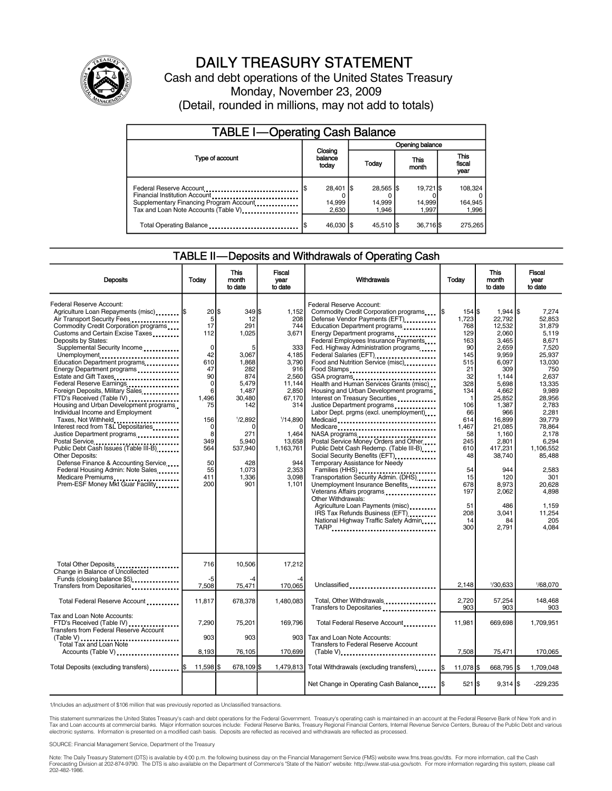

# DAILY TREASURY STATEMENT

Cash and debt operations of the United States Treasury Monday, November 23, 2009 (Detail, rounded in millions, may not add to totals)

| <b>TABLE I-Operating Cash Balance</b>                                                                                                       |  |                              |  |                              |  |                              |  |                               |  |  |
|---------------------------------------------------------------------------------------------------------------------------------------------|--|------------------------------|--|------------------------------|--|------------------------------|--|-------------------------------|--|--|
|                                                                                                                                             |  |                              |  | Opening balance              |  |                              |  |                               |  |  |
| Type of account                                                                                                                             |  | Closing<br>balance<br>today  |  | Today                        |  | This<br>month                |  | <b>This</b><br>fiscal<br>year |  |  |
| Federal Reserve Account<br>Financial Institution Account<br>Supplementary Financing Program Account<br>Tax and Loan Note Accounts (Table V) |  | 28,401 \$<br>14,999<br>2.630 |  | 28.565 \$<br>14,999<br>1.946 |  | 19.721 \$<br>14,999<br>1.997 |  | 108,324<br>164,945<br>1,996   |  |  |
| Total Operating Balance                                                                                                                     |  | 46,030 \$                    |  | 45,510 \$                    |  | 36,716 \$                    |  | 275.265                       |  |  |

#### TABLE II—Deposits and Withdrawals of Operating Cash

| <b>Deposits</b>                                                                                                                                                                                                                                                                                                                                                                                                                                                                                                                                                                                                                                                                                                                                                                                                                         | Todav                                                                                                                                   | <b>This</b><br>month<br>to date                                                                                                                                                              | <b>Fiscal</b><br>Withdrawals<br>vear<br>to date                                                                                                                                         |                                                                                                                                                                                                                                                                                                                                                                                                                                                                                                                                                                                                                                                                                                                                                                                                                                                                                                                                                                                                        | Today                                                                                                                                                                                                                       | <b>This</b><br>month<br>to date                                                                                                                                                                                                                                              | <b>Fiscal</b><br>vear<br>to date                                                                                                                                                                                                                                           |  |
|-----------------------------------------------------------------------------------------------------------------------------------------------------------------------------------------------------------------------------------------------------------------------------------------------------------------------------------------------------------------------------------------------------------------------------------------------------------------------------------------------------------------------------------------------------------------------------------------------------------------------------------------------------------------------------------------------------------------------------------------------------------------------------------------------------------------------------------------|-----------------------------------------------------------------------------------------------------------------------------------------|----------------------------------------------------------------------------------------------------------------------------------------------------------------------------------------------|-----------------------------------------------------------------------------------------------------------------------------------------------------------------------------------------|--------------------------------------------------------------------------------------------------------------------------------------------------------------------------------------------------------------------------------------------------------------------------------------------------------------------------------------------------------------------------------------------------------------------------------------------------------------------------------------------------------------------------------------------------------------------------------------------------------------------------------------------------------------------------------------------------------------------------------------------------------------------------------------------------------------------------------------------------------------------------------------------------------------------------------------------------------------------------------------------------------|-----------------------------------------------------------------------------------------------------------------------------------------------------------------------------------------------------------------------------|------------------------------------------------------------------------------------------------------------------------------------------------------------------------------------------------------------------------------------------------------------------------------|----------------------------------------------------------------------------------------------------------------------------------------------------------------------------------------------------------------------------------------------------------------------------|--|
| Federal Reserve Account:<br>Agriculture Loan Repayments (misc) S<br>Air Transport Security Fees<br>Commodity Credit Corporation programs<br>Customs and Certain Excise Taxes<br>Deposits by States:<br>Supplemental Security Income<br>Unemployment<br>Education Department programs<br>Energy Department programs<br>Estate and Gift Taxes<br>Federal Reserve Earnings<br>Foreign Deposits, Military Sales<br>FTD's Received (Table IV)<br>Housing and Urban Development programs<br>Individual Income and Employment<br>Taxes, Not Withheld<br>Interest recd from T&L Depositaries<br>Justice Department programs<br>Postal Service<br>Public Debt Cash Issues (Table III-B)<br>Other Deposits:<br>Defense Finance & Accounting Service<br>Federal Housing Admin: Note Sales<br>Medicare Premiums<br>Prem-ESF Money Mkt Guar Facility | 20 \$<br>5<br>17<br>112<br>0<br>42<br>610<br>47<br>90<br>0<br>6<br>1.496<br>75<br>156<br>0<br>8<br>349<br>564<br>50<br>55<br>411<br>200 | $349$ $\frac{1}{3}$<br>12<br>291<br>1,025<br>5<br>3.067<br>1.868<br>282<br>874<br>5,479<br>1,487<br>30,480<br>142<br>1/2,892<br>n<br>271<br>5,940<br>537,940<br>428<br>1,073<br>1,336<br>901 | 1.152<br>208<br>744<br>3,671<br>333<br>4,185<br>3.790<br>916<br>2,560<br>11,144<br>2,850<br>67,170<br>314<br>1/14,890<br>1,464<br>13,658<br>1,163,761<br>944<br>2,353<br>3,098<br>1.101 | Federal Reserve Account:<br>Commodity Credit Corporation programs<br>Defense Vendor Payments (EFT)<br>Education Department programs<br>Energy Department programs<br>Federal Employees Insurance Payments<br>Fed. Highway Administration programs<br>Federal Salaries (EFT)<br>Food and Nutrition Service (misc)<br>Food Stamps<br>GSA programs<br>Health and Human Services Grants (misc)<br>Housing and Urban Development programs<br>Interest on Treasury Securities<br>Justice Department programs<br>Labor Dept. prgms (excl. unemployment)<br>Medicaid<br>Medicare<br>Postal Service Money Orders and Other<br>Public Debt Cash Redemp. (Table III-B)<br>Social Security Benefits (EFT)<br>Temporary Assistance for Needy<br>Families (HHS)<br>Transportation Security Admin. (DHS)<br>Unemployment Insurance Benefits<br>Veterans Affairs programs<br>Other Withdrawals:<br>Agriculture Loan Payments (misc)<br>IRS Tax Refunds Business (EFT)<br>National Highway Traffic Safety Admin<br>TARP | $154$ $\frac{15}{3}$<br>1,723<br>768<br>129<br>163<br>90<br>145<br>515<br>21<br>32<br>328<br>134<br>$\mathbf{1}$<br>106<br>66<br>614<br>1,467<br>58<br>245<br>610<br>48<br>54<br>15<br>678<br>197<br>51<br>208<br>14<br>300 | $1,944$ $\frac{1}{3}$<br>22,792<br>12,532<br>2,060<br>3,465<br>2,659<br>9,959<br>6.097<br>309<br>1,144<br>5,698<br>4,662<br>25,852<br>1,387<br>966<br>16,899<br>21,085<br>1,160<br>2,801<br>417,231<br>38,740<br>944<br>120<br>8,973<br>2,062<br>486<br>3,041<br>84<br>2,791 | 7,274<br>52,853<br>31,879<br>5.119<br>8.671<br>7,520<br>25.937<br>13.030<br>750<br>2,637<br>13,335<br>9.989<br>28.956<br>2,783<br>2.281<br>39,779<br>78.864<br>2.178<br>6,294<br>1.106.552<br>85,488<br>2,583<br>301<br>20.628<br>4.898<br>1.159<br>11,254<br>205<br>4.084 |  |
| Total Other Deposits<br>Change in Balance of Uncollected<br>Funds (closing balance \$5)                                                                                                                                                                                                                                                                                                                                                                                                                                                                                                                                                                                                                                                                                                                                                 | 716<br>$-5$                                                                                                                             | 10,506<br>-4                                                                                                                                                                                 | 17,212                                                                                                                                                                                  |                                                                                                                                                                                                                                                                                                                                                                                                                                                                                                                                                                                                                                                                                                                                                                                                                                                                                                                                                                                                        |                                                                                                                                                                                                                             |                                                                                                                                                                                                                                                                              |                                                                                                                                                                                                                                                                            |  |
| Transfers from Depositaries                                                                                                                                                                                                                                                                                                                                                                                                                                                                                                                                                                                                                                                                                                                                                                                                             | 7,508                                                                                                                                   | 75,471                                                                                                                                                                                       | 170,065                                                                                                                                                                                 | Unclassified                                                                                                                                                                                                                                                                                                                                                                                                                                                                                                                                                                                                                                                                                                                                                                                                                                                                                                                                                                                           | 2,148                                                                                                                                                                                                                       | 1/30,633                                                                                                                                                                                                                                                                     | 1/68,070                                                                                                                                                                                                                                                                   |  |
| Total Federal Reserve Account                                                                                                                                                                                                                                                                                                                                                                                                                                                                                                                                                                                                                                                                                                                                                                                                           | 11,817                                                                                                                                  | 678,378                                                                                                                                                                                      | 1.480.083                                                                                                                                                                               | Total, Other Withdrawals                                                                                                                                                                                                                                                                                                                                                                                                                                                                                                                                                                                                                                                                                                                                                                                                                                                                                                                                                                               | 2,720<br>903                                                                                                                                                                                                                | 57,254<br>903                                                                                                                                                                                                                                                                | 148,468<br>903                                                                                                                                                                                                                                                             |  |
| Tax and Loan Note Accounts:<br>FTD's Received (Table IV)<br><b>Transfers from Federal Reserve Account</b>                                                                                                                                                                                                                                                                                                                                                                                                                                                                                                                                                                                                                                                                                                                               | 7.290<br>903                                                                                                                            | 75,201<br>903                                                                                                                                                                                | 169.796<br>903 <sub>l</sub>                                                                                                                                                             | Total Federal Reserve Account<br>Tax and Loan Note Accounts:                                                                                                                                                                                                                                                                                                                                                                                                                                                                                                                                                                                                                                                                                                                                                                                                                                                                                                                                           | 11.981                                                                                                                                                                                                                      | 669.698                                                                                                                                                                                                                                                                      | 1.709.951                                                                                                                                                                                                                                                                  |  |
| (Table V)<br>Total Tax and Loan Note                                                                                                                                                                                                                                                                                                                                                                                                                                                                                                                                                                                                                                                                                                                                                                                                    |                                                                                                                                         |                                                                                                                                                                                              |                                                                                                                                                                                         | Transfers to Federal Reserve Account                                                                                                                                                                                                                                                                                                                                                                                                                                                                                                                                                                                                                                                                                                                                                                                                                                                                                                                                                                   |                                                                                                                                                                                                                             |                                                                                                                                                                                                                                                                              |                                                                                                                                                                                                                                                                            |  |
| Accounts (Table V)                                                                                                                                                                                                                                                                                                                                                                                                                                                                                                                                                                                                                                                                                                                                                                                                                      | 8,193                                                                                                                                   | 76,105                                                                                                                                                                                       | 170,699                                                                                                                                                                                 |                                                                                                                                                                                                                                                                                                                                                                                                                                                                                                                                                                                                                                                                                                                                                                                                                                                                                                                                                                                                        | 7,508                                                                                                                                                                                                                       | 75,471                                                                                                                                                                                                                                                                       | 170,065                                                                                                                                                                                                                                                                    |  |
| Total Deposits (excluding transfers)  \$                                                                                                                                                                                                                                                                                                                                                                                                                                                                                                                                                                                                                                                                                                                                                                                                | 11.598 S                                                                                                                                | 678.109 \$                                                                                                                                                                                   |                                                                                                                                                                                         | 1,479,813 Total Withdrawals (excluding transfers) [\$                                                                                                                                                                                                                                                                                                                                                                                                                                                                                                                                                                                                                                                                                                                                                                                                                                                                                                                                                  | 11,078 \$                                                                                                                                                                                                                   | 668,795 \$                                                                                                                                                                                                                                                                   | 1,709,048                                                                                                                                                                                                                                                                  |  |
|                                                                                                                                                                                                                                                                                                                                                                                                                                                                                                                                                                                                                                                                                                                                                                                                                                         |                                                                                                                                         |                                                                                                                                                                                              |                                                                                                                                                                                         |                                                                                                                                                                                                                                                                                                                                                                                                                                                                                                                                                                                                                                                                                                                                                                                                                                                                                                                                                                                                        | $521$ $\text{S}$                                                                                                                                                                                                            | $9.314$ S                                                                                                                                                                                                                                                                    | $-229.235$                                                                                                                                                                                                                                                                 |  |

1/Includes an adjustment of \$106 million that was previously reported as Unclassified transactions.

This statement summarizes the United States Treasury's cash and debt operations for the Federal Government. Treasury's operating cash is maintained in an account at the Federal Reserve Bank of New York and in<br>Tax and Loan

SOURCE: Financial Management Service, Department of the Treasury

Note: The Daily Treasury Statement (DTS) is available by 4:00 p.m. the following business day on the Financial Management Service (FMS) website www.fms.treas.gov/dts. For more information, call the Cash Forecasting Division at 202-874-9790. The DTS is also available on the Department of Commerce's "State of the Nation" website: http://www.stat-usa.gov/sotn. For more information regarding this system, please call<br>202-482-1